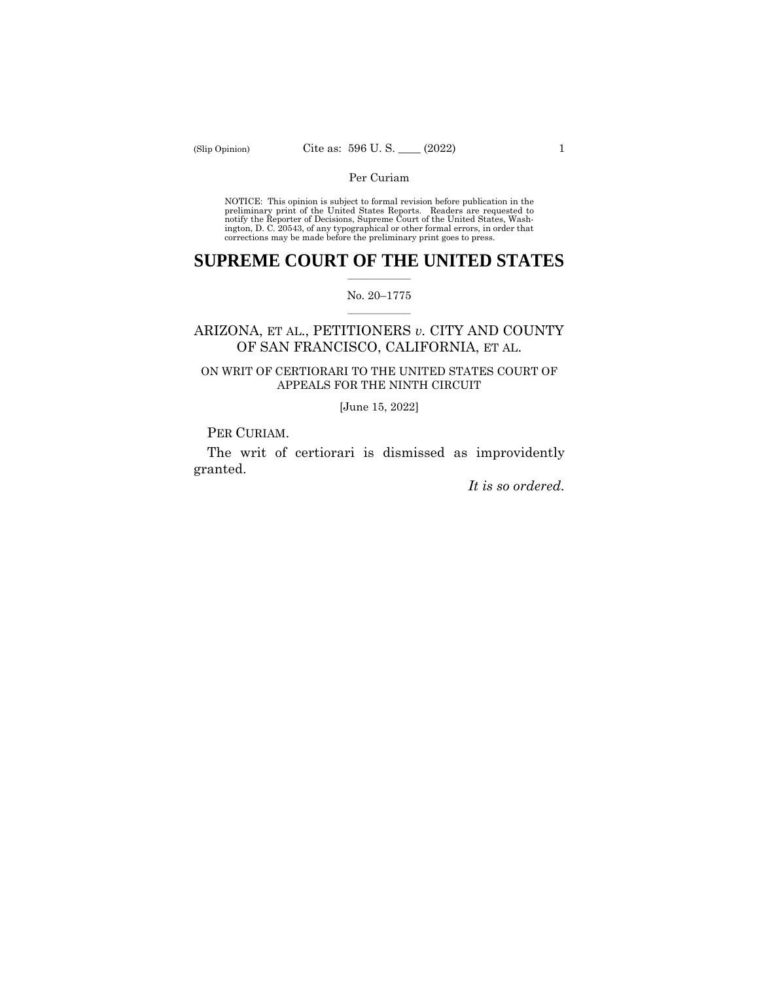## Per Curiam

NOTICE: This opinion is subject to formal revision before publication in the preliminary print of the United States Reports. Readers are requested to notify the Reporter of Decisions, Supreme Court of the United States, Wa ington, D. C. 20543, of any typographical or other formal errors, in order that corrections may be made before the preliminary print goes to press.

## $\frac{1}{2}$  ,  $\frac{1}{2}$  ,  $\frac{1}{2}$  ,  $\frac{1}{2}$  ,  $\frac{1}{2}$  ,  $\frac{1}{2}$  ,  $\frac{1}{2}$ **SUPREME COURT OF THE UNITED STATES**

### $\frac{1}{2}$  ,  $\frac{1}{2}$  ,  $\frac{1}{2}$  ,  $\frac{1}{2}$  ,  $\frac{1}{2}$  ,  $\frac{1}{2}$ No. 20–1775

# ARIZONA, ET AL., PETITIONERS *v.* CITY AND COUNTY OF SAN FRANCISCO, CALIFORNIA, ET AL.

# ON WRIT OF CERTIORARI TO THE UNITED STATES COURT OF APPEALS FOR THE NINTH CIRCUIT

[June 15, 2022]

PER CURIAM.

The writ of certiorari is dismissed as improvidently granted.

*It is so ordered.*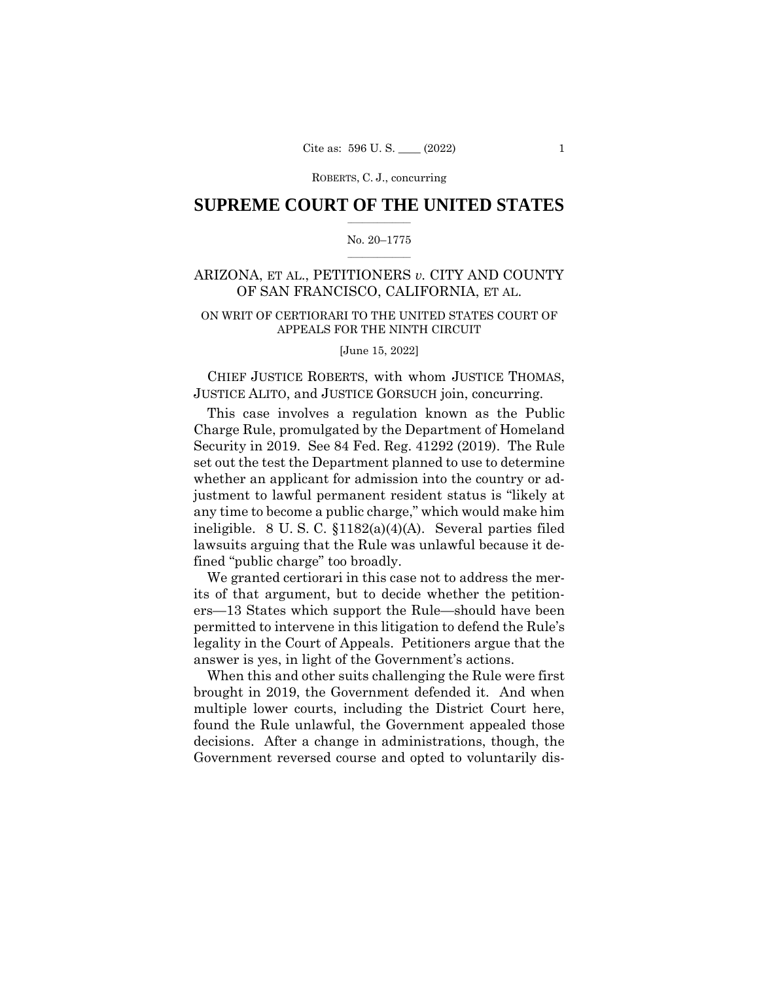ROBERTS, C. J., concurring

### $\frac{1}{2}$  ,  $\frac{1}{2}$  ,  $\frac{1}{2}$  ,  $\frac{1}{2}$  ,  $\frac{1}{2}$  ,  $\frac{1}{2}$  ,  $\frac{1}{2}$ **SUPREME COURT OF THE UNITED STATES**

### $\frac{1}{2}$  ,  $\frac{1}{2}$  ,  $\frac{1}{2}$  ,  $\frac{1}{2}$  ,  $\frac{1}{2}$  ,  $\frac{1}{2}$ No. 20–1775

# ARIZONA, ET AL., PETITIONERS *v.* CITY AND COUNTY OF SAN FRANCISCO, CALIFORNIA, ET AL.

# ON WRIT OF CERTIORARI TO THE UNITED STATES COURT OF APPEALS FOR THE NINTH CIRCUIT

[June 15, 2022]

CHIEF JUSTICE ROBERTS, with whom JUSTICE THOMAS, JUSTICE ALITO, and JUSTICE GORSUCH join, concurring.

This case involves a regulation known as the Public Charge Rule, promulgated by the Department of Homeland Security in 2019. See 84 Fed. Reg. 41292 (2019). The Rule set out the test the Department planned to use to determine whether an applicant for admission into the country or adjustment to lawful permanent resident status is "likely at any time to become a public charge," which would make him ineligible. 8 U. S. C. §1182(a)(4)(A). Several parties filed lawsuits arguing that the Rule was unlawful because it defined "public charge" too broadly.

We granted certiorari in this case not to address the merits of that argument, but to decide whether the petitioners—13 States which support the Rule—should have been permitted to intervene in this litigation to defend the Rule's legality in the Court of Appeals. Petitioners argue that the answer is yes, in light of the Government's actions.

When this and other suits challenging the Rule were first brought in 2019, the Government defended it. And when multiple lower courts, including the District Court here, found the Rule unlawful, the Government appealed those decisions. After a change in administrations, though, the Government reversed course and opted to voluntarily dis-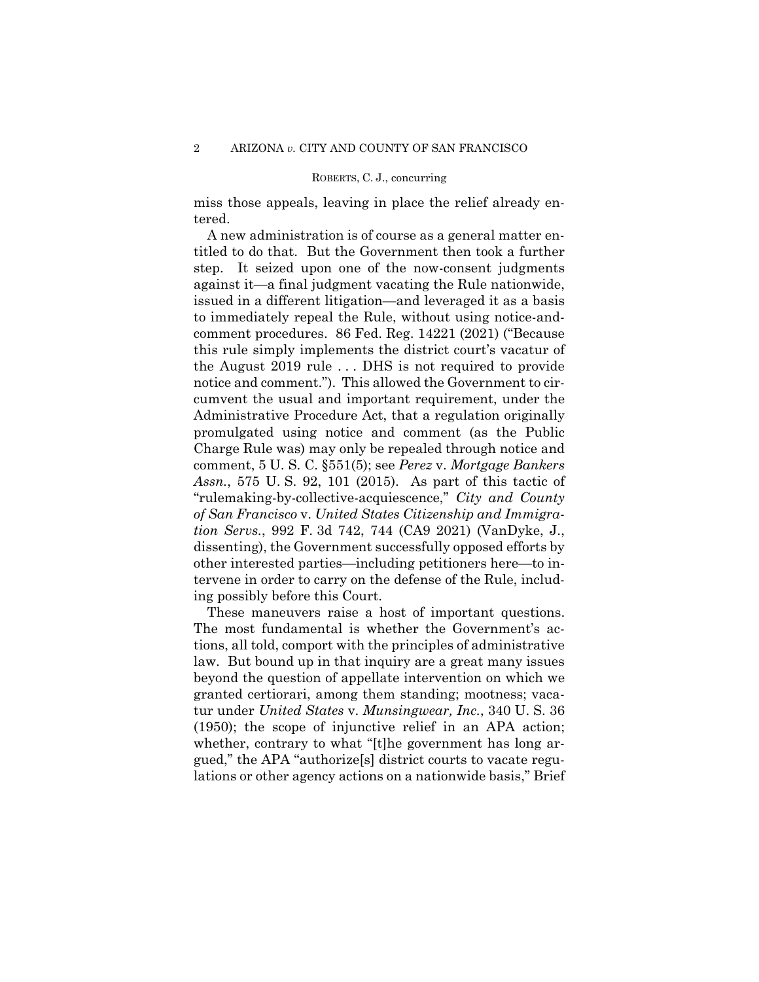### ROBERTS, C. J., concurring

miss those appeals, leaving in place the relief already entered.

A new administration is of course as a general matter entitled to do that. But the Government then took a further step. It seized upon one of the now-consent judgments against it—a final judgment vacating the Rule nationwide, issued in a different litigation—and leveraged it as a basis to immediately repeal the Rule, without using notice-andcomment procedures. 86 Fed. Reg. 14221 (2021) ("Because this rule simply implements the district court's vacatur of the August 2019 rule . . . DHS is not required to provide notice and comment."). This allowed the Government to circumvent the usual and important requirement, under the Administrative Procedure Act, that a regulation originally promulgated using notice and comment (as the Public Charge Rule was) may only be repealed through notice and comment, 5 U. S. C. §551(5); see *Perez* v. *Mortgage Bankers Assn.*, 575 U. S. 92, 101 (2015). As part of this tactic of "rulemaking-by-collective-acquiescence," *City and County of San Francisco* v. *United States Citizenship and Immigration Servs.*, 992 F. 3d 742, 744 (CA9 2021) (VanDyke, J., dissenting), the Government successfully opposed efforts by other interested parties—including petitioners here—to intervene in order to carry on the defense of the Rule, including possibly before this Court.

 These maneuvers raise a host of important questions. The most fundamental is whether the Government's actions, all told, comport with the principles of administrative law. But bound up in that inquiry are a great many issues beyond the question of appellate intervention on which we granted certiorari, among them standing; mootness; vacatur under *United States* v. *Munsingwear, Inc.*, 340 U. S. 36 (1950); the scope of injunctive relief in an APA action; whether, contrary to what "[t]he government has long argued," the APA "authorize[s] district courts to vacate regulations or other agency actions on a nationwide basis," Brief